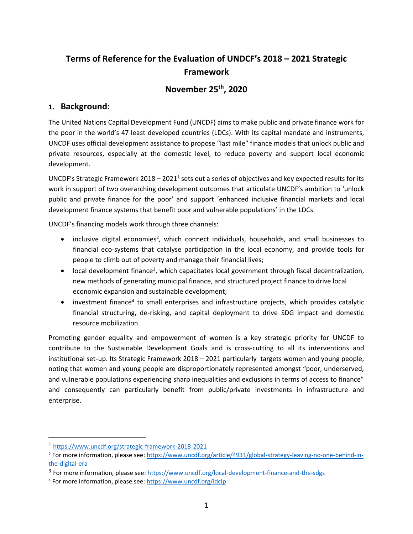# **Terms of Reference for the Evaluation of UNDCF's 2018 – 2021 Strategic Framework**

# **November 25th, 2020**

# **1. Background:**

The United Nations Capital Development Fund (UNCDF) aims to make public and private finance work for the poor in the world's 47 least developed countries (LDCs). With its capital mandate and instruments, UNCDF uses official development assistance to propose "last mile" finance models that unlock public and private resources, especially at the domestic level, to reduce poverty and support local economic development.

UNCDF's Strategic Framework 2018 – 2021<sup>1</sup> sets out a series of objectives and key expected results for its work in support of two overarching development outcomes that articulate UNCDF's ambition to 'unlock public and private finance for the poor' and support 'enhanced inclusive financial markets and local development finance systems that benefit poor and vulnerable populations' in the LDCs.

UNCDF's financing models work through three channels:

- inclusive digital economies<sup>2</sup>, which connect individuals, households, and small businesses to financial eco-systems that catalyse participation in the local economy, and provide tools for people to climb out of poverty and manage their financial lives;
- local development finance<sup>3</sup>, which capacitates local government through fiscal decentralization, new methods of generating municipal finance, and structured project finance to drive local economic expansion and sustainable development;
- investment finance<sup>4</sup> to small enterprises and infrastructure projects, which provides catalytic financial structuring, de-risking, and capital deployment to drive SDG impact and domestic resource mobilization.

Promoting gender equality and empowerment of women is a key strategic priority for UNCDF to contribute to the Sustainable Development Goals and is cross-cutting to all its interventions and institutional set-up. Its Strategic Framework 2018 – 2021 particularly targets women and young people, noting that women and young people are disproportionately represented amongst "poor, underserved, and vulnerable populations experiencing sharp inequalities and exclusions in terms of access to finance" and consequently can particularly benefit from public/private investments in infrastructure and enterprise.

<sup>1</sup> <https://www.uncdf.org/strategic-framework-2018-2021>

<sup>2</sup> For more information, please see[: https://www.uncdf.org/article/4931/global-strategy-leaving-no-one-behind-in](https://www.uncdf.org/article/4931/global-strategy-leaving-no-one-behind-in-the-digital-era)[the-digital-era](https://www.uncdf.org/article/4931/global-strategy-leaving-no-one-behind-in-the-digital-era)

<sup>&</sup>lt;sup>3</sup> For more information, please see[: https://www.uncdf.org/local-development-finance-and-the-sdgs](https://www.uncdf.org/local-development-finance-and-the-sdgs)

<sup>4</sup> For more information, please see[: https://www.uncdf.org/ldcip](https://www.uncdf.org/ldcip)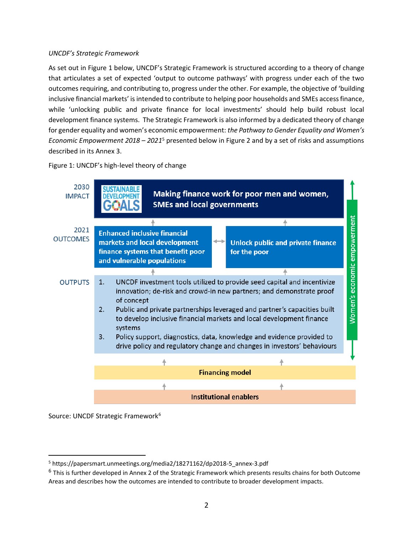#### *UNCDF's Strategic Framework*

As set out in Figure 1 below, UNCDF's Strategic Framework is structured according to a theory of change that articulates a set of expected 'output to outcome pathways' with progress under each of the two outcomes requiring, and contributing to, progress under the other. For example, the objective of 'building inclusive financial markets' is intended to contribute to helping poor households and SMEs access finance, while 'unlocking public and private finance for local investments' should help build robust local development finance systems. The Strategic Framework is also informed by a dedicated theory of change for gender equality and women's economic empowerment: *the Pathway to Gender Equality and Women's Economic Empowerment 2018 – 2021*<sup>5</sup> presented below in Figure 2 and by a set of risks and assumptions described in its Annex 3.

Figure 1: UNCDF's high-level theory of change



Source: UNCDF Strategic Framework<sup>6</sup>

<sup>5</sup> https://papersmart.unmeetings.org/media2/18271162/dp2018-5\_annex-3.pdf

<sup>&</sup>lt;sup>6</sup> This is further developed in Annex 2 of the Strategic Framework which presents results chains for both Outcome Areas and describes how the outcomes are intended to contribute to broader development impacts.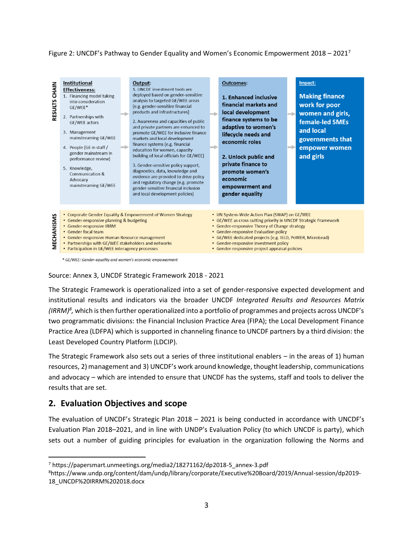Figure 2: UNCDF's Pathway to Gender Equality and Women's Economic Empowerment 2018 – 2021<sup>7</sup>



\* GE/WEE: Gender-equality and women's economic empowerment

Source: Annex 3, UNCDF Strategic Framework 2018 - 2021

The Strategic Framework is operationalized into a set of gender-responsive expected development and institutional results and indicators via the broader UNCDF *Integrated Results and Resources Matrix (IRRM)<sup>8</sup> ,* which is then further operationalized into a portfolio of programmes and projects across UNCDF's two programmatic divisions: the Financial Inclusion Practice Area (FIPA); the Local Development Finance Practice Area (LDFPA) which is supported in channeling finance to UNCDF partners by a third division: the Least Developed Country Platform (LDCIP).

The Strategic Framework also sets out a series of three institutional enablers – in the areas of 1) human resources, 2) management and 3) UNCDF's work around knowledge, thought leadership, communications and advocacy – which are intended to ensure that UNCDF has the systems, staff and tools to deliver the results that are set.

# **2. Evaluation Objectives and scope**

The evaluation of UNCDF's Strategic Plan 2018 – 2021 is being conducted in accordance with UNCDF's Evaluation Plan 2018–2021, and in line with UNDP's Evaluation Policy (to which UNCDF is party), which sets out a number of guiding principles for evaluation in the organization following the Norms and

<sup>7</sup> https://papersmart.unmeetings.org/media2/18271162/dp2018-5\_annex-3.pdf

<sup>8</sup>https://www.undp.org/content/dam/undp/library/corporate/Executive%20Board/2019/Annual-session/dp2019- 18\_UNCDF%20IRRM%202018.docx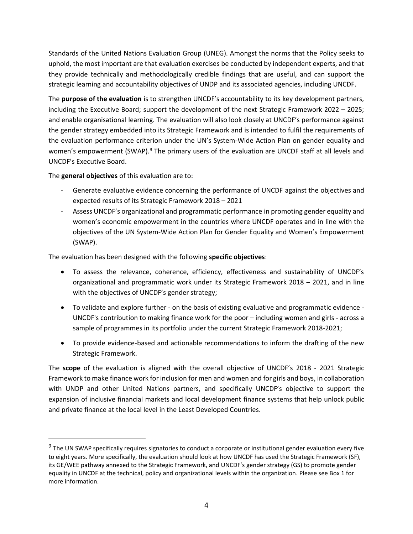Standards of the United Nations Evaluation Group (UNEG). Amongst the norms that the Policy seeks to uphold, the most important are that evaluation exercises be conducted by independent experts, and that they provide technically and methodologically credible findings that are useful, and can support the strategic learning and accountability objectives of UNDP and its associated agencies, including UNCDF.

The **purpose of the evaluation** is to strengthen UNCDF's accountability to its key development partners, including the Executive Board; support the development of the next Strategic Framework 2022 – 2025; and enable organisational learning. The evaluation will also look closely at UNCDF's performance against the gender strategy embedded into its Strategic Framework and is intended to fulfil the requirements of the evaluation performance criterion under the UN's System-Wide Action Plan on gender equality and women's empowerment (SWAP).<sup>9</sup> The primary users of the evaluation are UNCDF staff at all levels and UNCDF's Executive Board.

The **general objectives** of this evaluation are to:

- Generate evaluative evidence concerning the performance of UNCDF against the objectives and expected results of its Strategic Framework 2018 – 2021
- Assess UNCDF's organizational and programmatic performance in promoting gender equality and women's economic empowerment in the countries where UNCDF operates and in line with the objectives of the UN System-Wide Action Plan for Gender Equality and Women's Empowerment (SWAP).

The evaluation has been designed with the following **specific objectives**:

- To assess the relevance, coherence, efficiency, effectiveness and sustainability of UNCDF's organizational and programmatic work under its Strategic Framework 2018 – 2021, and in line with the objectives of UNCDF's gender strategy;
- To validate and explore further on the basis of existing evaluative and programmatic evidence UNCDF's contribution to making finance work for the poor – including women and girls - across a sample of programmes in its portfolio under the current Strategic Framework 2018-2021;
- To provide evidence-based and actionable recommendations to inform the drafting of the new Strategic Framework.

The **scope** of the evaluation is aligned with the overall objective of UNCDF's 2018 - 2021 Strategic Framework to make finance work for inclusion for men and women and for girls and boys, in collaboration with UNDP and other United Nations partners, and specifically UNCDF's objective to support the expansion of inclusive financial markets and local development finance systems that help unlock public and private finance at the local level in the Least Developed Countries.

<sup>&</sup>lt;sup>9</sup> The UN SWAP specifically requires signatories to conduct a corporate or institutional gender evaluation every five to eight years. More specifically, the evaluation should look at how UNCDF has used the Strategic Framework (SF), its GE/WEE pathway annexed to the Strategic Framework, and UNCDF's gender strategy (GS) to promote gender equality in UNCDF at the technical, policy and organizational levels within the organization. Please see Box 1 for more information.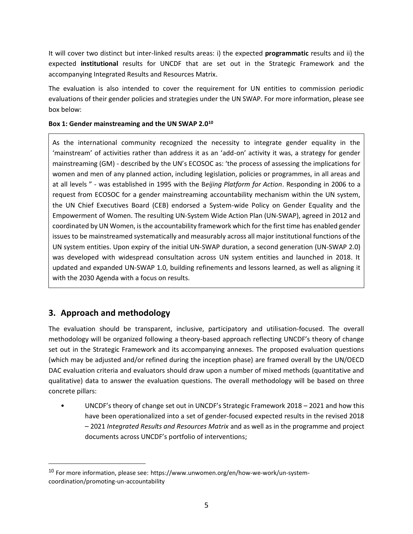It will cover two distinct but inter-linked results areas: i) the expected **programmatic** results and ii) the expected **institutional** results for UNCDF that are set out in the Strategic Framework and the accompanying Integrated Results and Resources Matrix.

The evaluation is also intended to cover the requirement for UN entities to commission periodic evaluations of their gender policies and strategies under the UN SWAP. For more information, please see box below:

#### **Box 1: Gender mainstreaming and the UN SWAP 2.0<sup>10</sup>**

As the international community recognized the necessity to integrate gender equality in the 'mainstream' of activities rather than address it as an 'add-on' activity it was, a strategy for gender mainstreaming (GM) - described by the UN's ECOSOC as: 'the process of assessing the implications for women and men of any planned action, including legislation, policies or programmes, in all areas and at all levels " - was established in 1995 with the B*eijing Platform for Action*. Responding in 2006 to a request from ECOSOC for a gender mainstreaming accountability mechanism within the UN system, the UN Chief Executives Board (CEB) endorsed a System-wide Policy on Gender Equality and the Empowerment of Women. The resulting UN-System Wide Action Plan (UN-SWAP), agreed in 2012 and coordinated by UN Women, is the accountability framework which for the first time has enabled gender issues to be mainstreamed systematically and measurably across all major institutional functions of the UN system entities. Upon expiry of the initial UN-SWAP duration, a second generation (UN-SWAP 2.0) was developed with widespread consultation across UN system entities and launched in 2018. It updated and expanded UN-SWAP 1.0, building refinements and lessons learned, as well as aligning it with the 2030 Agenda with a focus on results.

# **3. Approach and methodology**

The evaluation should be transparent, inclusive, participatory and utilisation-focused. The overall methodology will be organized following a theory-based approach reflecting UNCDF's theory of change set out in the Strategic Framework and its accompanying annexes. The proposed evaluation questions (which may be adjusted and/or refined during the inception phase) are framed overall by the UN/OECD DAC evaluation criteria and evaluators should draw upon a number of mixed methods (quantitative and qualitative) data to answer the evaluation questions. The overall methodology will be based on three concrete pillars:

• UNCDF's theory of change set out in UNCDF's Strategic Framework 2018 – 2021 and how this have been operationalized into a set of gender-focused expected results in the revised 2018 – 2021 *Integrated Results and Resources Matrix* and as well as in the programme and project documents across UNCDF's portfolio of interventions;

 $10$  For more information, please see: https://www.unwomen.org/en/how-we-work/un-systemcoordination/promoting-un-accountability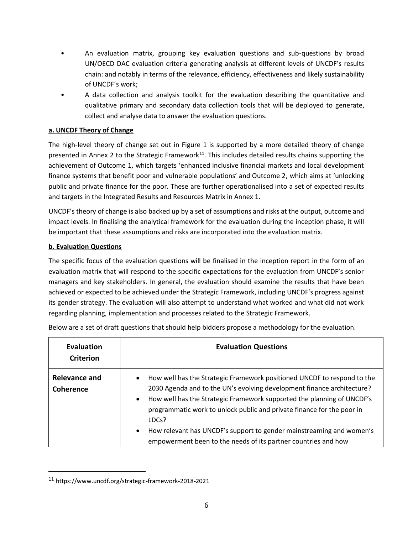- An evaluation matrix, grouping key evaluation questions and sub-questions by broad UN/OECD DAC evaluation criteria generating analysis at different levels of UNCDF's results chain: and notably in terms of the relevance, efficiency, effectiveness and likely sustainability of UNCDF's work;
- A data collection and analysis toolkit for the evaluation describing the quantitative and qualitative primary and secondary data collection tools that will be deployed to generate, collect and analyse data to answer the evaluation questions.

## **a. UNCDF Theory of Change**

The high-level theory of change set out in Figure 1 is supported by a more detailed theory of change presented in Annex 2 to the Strategic Framework<sup>11</sup>. This includes detailed results chains supporting the achievement of Outcome 1, which targets 'enhanced inclusive financial markets and local development finance systems that benefit poor and vulnerable populations' and Outcome 2, which aims at 'unlocking public and private finance for the poor. These are further operationalised into a set of expected results and targets in the Integrated Results and Resources Matrix in Annex 1.

UNCDF's theory of change is also backed up by a set of assumptions and risks at the output, outcome and impact levels. In finalising the analytical framework for the evaluation during the inception phase, it will be important that these assumptions and risks are incorporated into the evaluation matrix.

#### **b. Evaluation Questions**

The specific focus of the evaluation questions will be finalised in the inception report in the form of an evaluation matrix that will respond to the specific expectations for the evaluation from UNCDF's senior managers and key stakeholders. In general, the evaluation should examine the results that have been achieved or expected to be achieved under the Strategic Framework, including UNCDF's progress against its gender strategy. The evaluation will also attempt to understand what worked and what did not work regarding planning, implementation and processes related to the Strategic Framework.

| <b>Evaluation</b><br><b>Criterion</b>    | <b>Evaluation Questions</b>                                                                                                                                                                                                                                                                                                                                                                                                                                                                     |  |
|------------------------------------------|-------------------------------------------------------------------------------------------------------------------------------------------------------------------------------------------------------------------------------------------------------------------------------------------------------------------------------------------------------------------------------------------------------------------------------------------------------------------------------------------------|--|
| <b>Relevance and</b><br><b>Coherence</b> | How well has the Strategic Framework positioned UNCDF to respond to the<br>$\bullet$<br>2030 Agenda and to the UN's evolving development finance architecture?<br>How well has the Strategic Framework supported the planning of UNCDF's<br>$\bullet$<br>programmatic work to unlock public and private finance for the poor in<br>LDCs?<br>How relevant has UNCDF's support to gender mainstreaming and women's<br>$\bullet$<br>empowerment been to the needs of its partner countries and how |  |

Below are a set of draft questions that should help bidders propose a methodology for the evaluation.

<sup>11</sup> https://www.uncdf.org/strategic-framework-2018-2021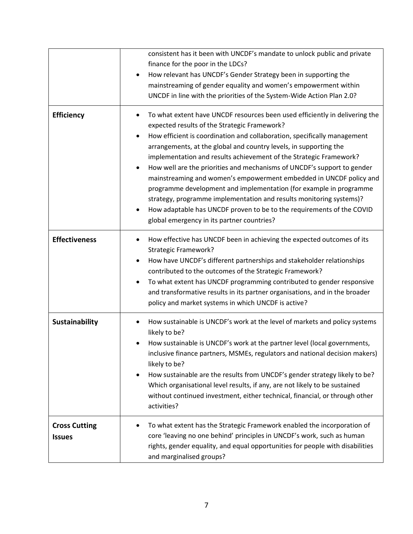|                                       | consistent has it been with UNCDF's mandate to unlock public and private<br>finance for the poor in the LDCs?<br>How relevant has UNCDF's Gender Strategy been in supporting the<br>$\bullet$<br>mainstreaming of gender equality and women's empowerment within<br>UNCDF in line with the priorities of the System-Wide Action Plan 2.0?                                                                                                                                                                                                                                                                                                                                                                                                                                            |
|---------------------------------------|--------------------------------------------------------------------------------------------------------------------------------------------------------------------------------------------------------------------------------------------------------------------------------------------------------------------------------------------------------------------------------------------------------------------------------------------------------------------------------------------------------------------------------------------------------------------------------------------------------------------------------------------------------------------------------------------------------------------------------------------------------------------------------------|
| <b>Efficiency</b>                     | To what extent have UNCDF resources been used efficiently in delivering the<br>expected results of the Strategic Framework?<br>How efficient is coordination and collaboration, specifically management<br>arrangements, at the global and country levels, in supporting the<br>implementation and results achievement of the Strategic Framework?<br>How well are the priorities and mechanisms of UNCDF's support to gender<br>$\bullet$<br>mainstreaming and women's empowerment embedded in UNCDF policy and<br>programme development and implementation (for example in programme<br>strategy, programme implementation and results monitoring systems)?<br>How adaptable has UNCDF proven to be to the requirements of the COVID<br>global emergency in its partner countries? |
| <b>Effectiveness</b>                  | How effective has UNCDF been in achieving the expected outcomes of its<br><b>Strategic Framework?</b><br>How have UNCDF's different partnerships and stakeholder relationships<br>٠<br>contributed to the outcomes of the Strategic Framework?<br>To what extent has UNCDF programming contributed to gender responsive<br>and transformative results in its partner organisations, and in the broader<br>policy and market systems in which UNCDF is active?                                                                                                                                                                                                                                                                                                                        |
| <b>Sustainability</b>                 | How sustainable is UNCDF's work at the level of markets and policy systems<br>likely to be?<br>How sustainable is UNCDF's work at the partner level (local governments,<br>inclusive finance partners, MSMEs, regulators and national decision makers)<br>likely to be?<br>How sustainable are the results from UNCDF's gender strategy likely to be?<br>Which organisational level results, if any, are not likely to be sustained<br>without continued investment, either technical, financial, or through other<br>activities?                                                                                                                                                                                                                                                    |
| <b>Cross Cutting</b><br><b>Issues</b> | To what extent has the Strategic Framework enabled the incorporation of<br>core 'leaving no one behind' principles in UNCDF's work, such as human<br>rights, gender equality, and equal opportunities for people with disabilities<br>and marginalised groups?                                                                                                                                                                                                                                                                                                                                                                                                                                                                                                                       |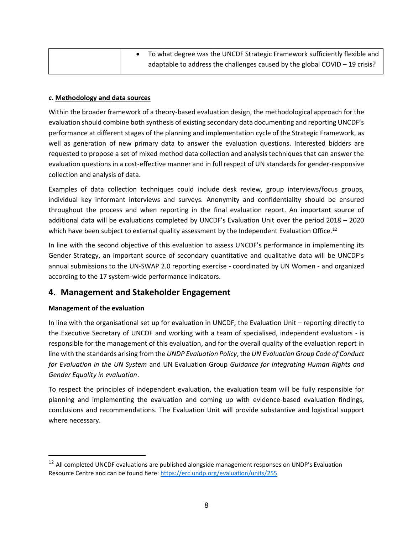|  | To what degree was the UNCDF Strategic Framework sufficiently flexible and    |
|--|-------------------------------------------------------------------------------|
|  | adaptable to address the challenges caused by the global COVID $-$ 19 crisis? |

#### *c.* **Methodology and data sources**

Within the broader framework of a theory-based evaluation design, the methodological approach for the evaluation should combine both synthesis of existing secondary data documenting and reporting UNCDF's performance at different stages of the planning and implementation cycle of the Strategic Framework, as well as generation of new primary data to answer the evaluation questions. Interested bidders are requested to propose a set of mixed method data collection and analysis techniques that can answer the evaluation questions in a cost-effective manner and in full respect of UN standards for gender-responsive collection and analysis of data.

Examples of data collection techniques could include desk review, group interviews/focus groups, individual key informant interviews and surveys. Anonymity and confidentiality should be ensured throughout the process and when reporting in the final evaluation report. An important source of additional data will be evaluations completed by UNCDF's Evaluation Unit over the period 2018 – 2020 which have been subject to external quality assessment by the Independent Evaluation Office.<sup>12</sup>

In line with the second objective of this evaluation to assess UNCDF's performance in implementing its Gender Strategy, an important source of secondary quantitative and qualitative data will be UNCDF's annual submissions to the UN-SWAP 2.0 reporting exercise - coordinated by UN Women - and organized according to the 17 system-wide performance indicators.

## **4. Management and Stakeholder Engagement**

#### **Management of the evaluation**

In line with the organisational set up for evaluation in UNCDF, the Evaluation Unit – reporting directly to the Executive Secretary of UNCDF and working with a team of specialised, independent evaluators - is responsible for the management of this evaluation, and for the overall quality of the evaluation report in line with the standards arising from the *UNDP Evaluation Policy*, the *UN Evaluation Group Code of Conduct for Evaluation in the UN System* and UN Evaluation Group *Guidance for Integrating Human Rights and Gender Equality in evaluation*.

To respect the principles of independent evaluation, the evaluation team will be fully responsible for planning and implementing the evaluation and coming up with evidence-based evaluation findings, conclusions and recommendations. The Evaluation Unit will provide substantive and logistical support where necessary.

<sup>&</sup>lt;sup>12</sup> All completed UNCDF evaluations are published alongside management responses on UNDP's Evaluation Resource Centre and can be found here:<https://erc.undp.org/evaluation/units/255>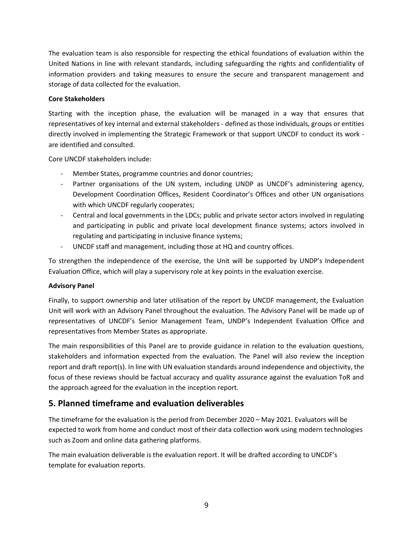The evaluation team is also responsible for respecting the ethical foundations of evaluation within the United Nations in line with relevant standards, including safeguarding the rights and confidentiality of information providers and taking measures to ensure the secure and transparent management and storage of data collected for the evaluation.

## **Core Stakeholders**

Starting with the inception phase, the evaluation will be managed in a way that ensures that representatives of key internal and external stakeholders - defined as those individuals, groups or entities directly involved in implementing the Strategic Framework or that support UNCDF to conduct its work are identified and consulted.

Core UNCDF stakeholders include:

- Member States, programme countries and donor countries;
- Partner organisations of the UN system, including UNDP as UNCDF's administering agency, Development Coordination Offices, Resident Coordinator's Offices and other UN organisations with which UNCDF regularly cooperates;
- Central and local governments in the LDCs; public and private sector actors involved in regulating and participating in public and private local development finance systems; actors involved in regulating and participating in inclusive finance systems;
- UNCDF staff and management, including those at HQ and country offices.

To strengthen the independence of the exercise, the Unit will be supported by UNDP's Independent Evaluation Office, which will play a supervisory role at key points in the evaluation exercise.

## **Advisory Panel**

Finally, to support ownership and later utilisation of the report by UNCDF management, the Evaluation Unit will work with an Advisory Panel throughout the evaluation. The Advisory Panel will be made up of representatives of UNCDF's Senior Management Team, UNDP's Independent Evaluation Office and representatives from Member States as appropriate.

The main responsibilities of this Panel are to provide guidance in relation to the evaluation questions, stakeholders and information expected from the evaluation. The Panel will also review the inception report and draft report(s). In line with UN evaluation standards around independence and objectivity, the focus of these reviews should be factual accuracy and quality assurance against the evaluation ToR and the approach agreed for the evaluation in the inception report.

# **5. Planned timeframe and evaluation deliverables**

The timeframe for the evaluation is the period from December 2020 – May 2021. Evaluators will be expected to work from home and conduct most of their data collection work using modern technologies such as Zoom and online data gathering platforms.

The main evaluation deliverable is the evaluation report. It will be drafted according to UNCDF's template for evaluation reports.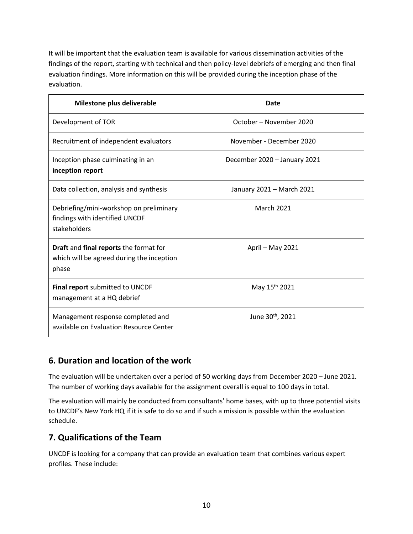It will be important that the evaluation team is available for various dissemination activities of the findings of the report, starting with technical and then policy-level debriefs of emerging and then final evaluation findings. More information on this will be provided during the inception phase of the evaluation.

| Milestone plus deliverable                                                                   | Date                         |
|----------------------------------------------------------------------------------------------|------------------------------|
| Development of TOR                                                                           | October - November 2020      |
| Recruitment of independent evaluators                                                        | November - December 2020     |
| Inception phase culminating in an<br>inception report                                        | December 2020 - January 2021 |
| Data collection, analysis and synthesis                                                      | January 2021 - March 2021    |
| Debriefing/mini-workshop on preliminary<br>findings with identified UNCDF<br>stakeholders    | <b>March 2021</b>            |
| Draft and final reports the format for<br>which will be agreed during the inception<br>phase | April - May 2021             |
| Final report submitted to UNCDF<br>management at a HQ debrief                                | May 15 <sup>th</sup> 2021    |
| Management response completed and<br>available on Evaluation Resource Center                 | June 30 <sup>th</sup> , 2021 |

# **6. Duration and location of the work**

The evaluation will be undertaken over a period of 50 working days from December 2020 – June 2021. The number of working days available for the assignment overall is equal to 100 days in total.

The evaluation will mainly be conducted from consultants' home bases, with up to three potential visits to UNCDF's New York HQ if it is safe to do so and if such a mission is possible within the evaluation schedule.

# **7. Qualifications of the Team**

UNCDF is looking for a company that can provide an evaluation team that combines various expert profiles. These include: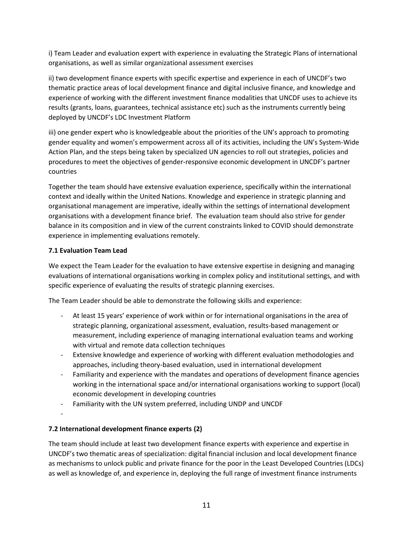i) Team Leader and evaluation expert with experience in evaluating the Strategic Plans of international organisations, as well as similar organizational assessment exercises

ii) two development finance experts with specific expertise and experience in each of UNCDF's two thematic practice areas of local development finance and digital inclusive finance, and knowledge and experience of working with the different investment finance modalities that UNCDF uses to achieve its results (grants, loans, guarantees, technical assistance etc) such as the instruments currently being deployed by UNCDF's LDC Investment Platform

iii) one gender expert who is knowledgeable about the priorities of the UN's approach to promoting gender equality and women's empowerment across all of its activities, including the UN's System-Wide Action Plan, and the steps being taken by specialized UN agencies to roll out strategies, policies and procedures to meet the objectives of gender-responsive economic development in UNCDF's partner countries

Together the team should have extensive evaluation experience, specifically within the international context and ideally within the United Nations. Knowledge and experience in strategic planning and organisational management are imperative, ideally within the settings of international development organisations with a development finance brief. The evaluation team should also strive for gender balance in its composition and in view of the current constraints linked to COVID should demonstrate experience in implementing evaluations remotely.

## **7.1 Evaluation Team Lead**

We expect the Team Leader for the evaluation to have extensive expertise in designing and managing evaluations of international organisations working in complex policy and institutional settings, and with specific experience of evaluating the results of strategic planning exercises.

The Team Leader should be able to demonstrate the following skills and experience:

- At least 15 years' experience of work within or for international organisations in the area of strategic planning, organizational assessment, evaluation, results-based management or measurement, including experience of managing international evaluation teams and working with virtual and remote data collection techniques
- Extensive knowledge and experience of working with different evaluation methodologies and approaches, including theory-based evaluation, used in international development
- Familiarity and experience with the mandates and operations of development finance agencies working in the international space and/or international organisations working to support (local) economic development in developing countries
- Familiarity with the UN system preferred, including UNDP and UNCDF

-

## **7.2 International development finance experts (2)**

The team should include at least two development finance experts with experience and expertise in UNCDF's two thematic areas of specialization: digital financial inclusion and local development finance as mechanisms to unlock public and private finance for the poor in the Least Developed Countries (LDCs) as well as knowledge of, and experience in, deploying the full range of investment finance instruments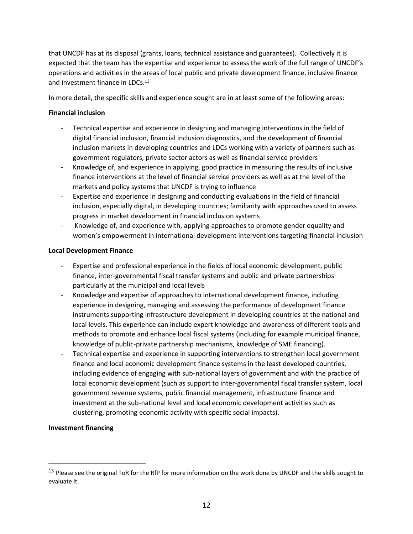that UNCDF has at its disposal (grants, loans, technical assistance and guarantees). Collectively it is expected that the team has the expertise and experience to assess the work of the full range of UNCDF's operations and activities in the areas of local public and private development finance, inclusive finance and investment finance in LDCs.<sup>13</sup>

In more detail, the specific skills and experience sought are in at least some of the following areas:

#### **Financial inclusion**

- Technical expertise and experience in designing and managing interventions in the field of digital financial inclusion, financial inclusion diagnostics, and the development of financial inclusion markets in developing countries and LDCs working with a variety of partners such as government regulators, private sector actors as well as financial service providers
- Knowledge of, and experience in applying, good practice in measuring the results of inclusive finance interventions at the level of financial service providers as well as at the level of the markets and policy systems that UNCDF is trying to influence
- Expertise and experience in designing and conducting evaluations in the field of financial inclusion, especially digital, in developing countries; familiarity with approaches used to assess progress in market development in financial inclusion systems
- Knowledge of, and experience with, applying approaches to promote gender equality and women's empowerment in international development interventions targeting financial inclusion

#### **Local Development Finance**

- Expertise and professional experience in the fields of local economic development, public finance, inter-governmental fiscal transfer systems and public and private partnerships particularly at the municipal and local levels
- Knowledge and expertise of approaches to international development finance, including experience in designing, managing and assessing the performance of development finance instruments supporting infrastructure development in developing countries at the national and local levels. This experience can include expert knowledge and awareness of different tools and methods to promote and enhance local fiscal systems (including for example municipal finance, knowledge of public-private partnership mechanisms, knowledge of SME financing).
- Technical expertise and experience in supporting interventions to strengthen local government finance and local economic development finance systems in the least developed countries, including evidence of engaging with sub-national layers of government and with the practice of local economic development (such as support to inter-governmental fiscal transfer system, local government revenue systems, public financial management, infrastructure finance and investment at the sub-national level and local economic development activities such as clustering, promoting economic activity with specific social impacts).

## **Investment financing**

<sup>&</sup>lt;sup>13</sup> Please see the original ToR for the RfP for more information on the work done by UNCDF and the skills sought to evaluate it.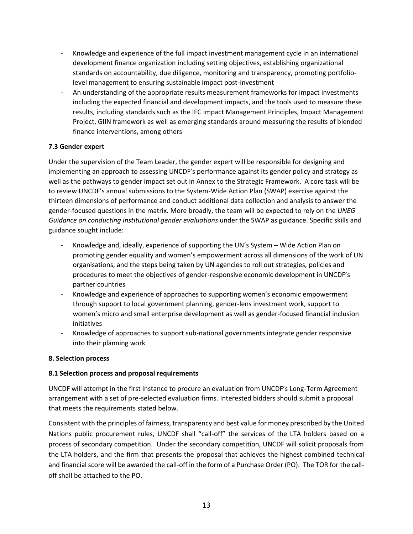- Knowledge and experience of the full impact investment management cycle in an international development finance organization including setting objectives, establishing organizational standards on accountability, due diligence, monitoring and transparency, promoting portfoliolevel management to ensuring sustainable impact post-investment
- An understanding of the appropriate results measurement frameworks for impact investments including the expected financial and development impacts, and the tools used to measure these results, including standards such as the IFC Impact Management Principles, Impact Management Project, GIIN framework as well as emerging standards around measuring the results of blended finance interventions, among others

## **7.3 Gender expert**

Under the supervision of the Team Leader, the gender expert will be responsible for designing and implementing an approach to assessing UNCDF's performance against its gender policy and strategy as well as the pathways to gender impact set out in Annex to the Strategic Framework. A core task will be to review UNCDF's annual submissions to the System-Wide Action Plan (SWAP) exercise against the thirteen dimensions of performance and conduct additional data collection and analysis to answer the gender-focused questions in the matrix. More broadly, the team will be expected to rely on the *UNEG Guidance on conducting institutional gender evaluations* under the SWAP as guidance. Specific skills and guidance sought include:

- Knowledge and, ideally, experience of supporting the UN's System Wide Action Plan on promoting gender equality and women's empowerment across all dimensions of the work of UN organisations, and the steps being taken by UN agencies to roll out strategies, policies and procedures to meet the objectives of gender-responsive economic development in UNCDF's partner countries
- Knowledge and experience of approaches to supporting women's economic empowerment through support to local government planning, gender-lens investment work, support to women's micro and small enterprise development as well as gender-focused financial inclusion initiatives
- Knowledge of approaches to support sub-national governments integrate gender responsive into their planning work

## **8. Selection process**

## **8.1 Selection process and proposal requirements**

UNCDF will attempt in the first instance to procure an evaluation from UNCDF's Long-Term Agreement arrangement with a set of pre-selected evaluation firms. Interested bidders should submit a proposal that meets the requirements stated below.

Consistent with the principles of fairness, transparency and best value for money prescribed by the United Nations public procurement rules, UNCDF shall "call-off" the services of the LTA holders based on a process of secondary competition. Under the secondary competition, UNCDF will solicit proposals from the LTA holders, and the firm that presents the proposal that achieves the highest combined technical and financial score will be awarded the call-off in the form of a Purchase Order (PO). The TOR for the calloff shall be attached to the PO.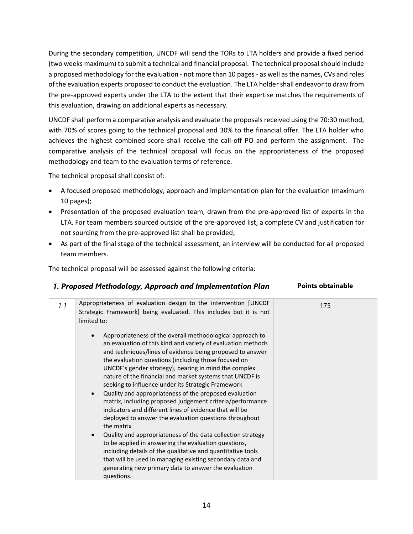During the secondary competition, UNCDF will send the TORs to LTA holders and provide a fixed period (two weeks maximum) to submit a technical and financial proposal. The technical proposal should include a proposed methodology for the evaluation - not more than 10 pages - as well as the names, CVs and roles of the evaluation experts proposed to conduct the evaluation. The LTA holder shall endeavor to draw from the pre-approved experts under the LTA to the extent that their expertise matches the requirements of this evaluation, drawing on additional experts as necessary.

UNCDF shall perform a comparative analysis and evaluate the proposals received using the 70:30 method, with 70% of scores going to the technical proposal and 30% to the financial offer. The LTA holder who achieves the highest combined score shall receive the call-off PO and perform the assignment. The comparative analysis of the technical proposal will focus on the appropriateness of the proposed methodology and team to the evaluation terms of reference.

The technical proposal shall consist of:

- A focused proposed methodology, approach and implementation plan for the evaluation (maximum 10 pages);
- Presentation of the proposed evaluation team, drawn from the pre-approved list of experts in the LTA. For team members sourced outside of the pre-approved list, a complete CV and justification for not sourcing from the pre-approved list shall be provided;
- As part of the final stage of the technical assessment, an interview will be conducted for all proposed team members.

The technical proposal will be assessed against the following criteria:

|                    | 1. Proposed Methodology, Approach and Implementation Plan                                                                                                                                                                                                                                                                                                                                                                                                                                                                                                                                                                                                                                                                                                                                                                                                                                                                                                                                                    | <b>Points obtainable</b> |  |  |
|--------------------|--------------------------------------------------------------------------------------------------------------------------------------------------------------------------------------------------------------------------------------------------------------------------------------------------------------------------------------------------------------------------------------------------------------------------------------------------------------------------------------------------------------------------------------------------------------------------------------------------------------------------------------------------------------------------------------------------------------------------------------------------------------------------------------------------------------------------------------------------------------------------------------------------------------------------------------------------------------------------------------------------------------|--------------------------|--|--|
| 1.1<br>limited to: | Appropriateness of evaluation design to the intervention [UNCDF<br>Strategic Framework] being evaluated. This includes but it is not                                                                                                                                                                                                                                                                                                                                                                                                                                                                                                                                                                                                                                                                                                                                                                                                                                                                         | 175                      |  |  |
| $\bullet$          | Appropriateness of the overall methodological approach to<br>an evaluation of this kind and variety of evaluation methods<br>and techniques/lines of evidence being proposed to answer<br>the evaluation questions (including those focused on<br>UNCDF's gender strategy), bearing in mind the complex<br>nature of the financial and market systems that UNCDF is<br>seeking to influence under its Strategic Framework<br>Quality and appropriateness of the proposed evaluation<br>matrix, including proposed judgement criteria/performance<br>indicators and different lines of evidence that will be<br>deployed to answer the evaluation questions throughout<br>the matrix<br>Quality and appropriateness of the data collection strategy<br>to be applied in answering the evaluation questions,<br>including details of the qualitative and quantitative tools<br>that will be used in managing existing secondary data and<br>generating new primary data to answer the evaluation<br>questions. |                          |  |  |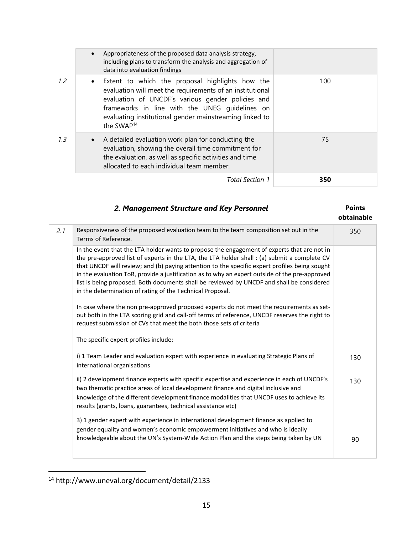|     | $\bullet$ | Appropriateness of the proposed data analysis strategy,<br>including plans to transform the analysis and aggregation of<br>data into evaluation findings                                                                                                                                                   |     |
|-----|-----------|------------------------------------------------------------------------------------------------------------------------------------------------------------------------------------------------------------------------------------------------------------------------------------------------------------|-----|
| 1.2 |           | • Extent to which the proposal highlights how the<br>evaluation will meet the requirements of an institutional<br>evaluation of UNCDF's various gender policies and<br>frameworks in line with the UNEG quidelines on<br>evaluating institutional gender mainstreaming linked to<br>the SWAP <sup>14</sup> | 100 |
| 1.3 | $\bullet$ | A detailed evaluation work plan for conducting the<br>evaluation, showing the overall time commitment for<br>the evaluation, as well as specific activities and time<br>allocated to each individual team member.                                                                                          | 75  |
|     |           | Total Section 1                                                                                                                                                                                                                                                                                            | 350 |

|  |  | 2. Management Structure and Key Personnel |  | <b>Points</b> |
|--|--|-------------------------------------------|--|---------------|
|--|--|-------------------------------------------|--|---------------|

|     |                                                                                                                                                                                                                                                                                                                                                                                                                                                                                                                                                          | obtainable |
|-----|----------------------------------------------------------------------------------------------------------------------------------------------------------------------------------------------------------------------------------------------------------------------------------------------------------------------------------------------------------------------------------------------------------------------------------------------------------------------------------------------------------------------------------------------------------|------------|
| 2.1 | Responsiveness of the proposed evaluation team to the team composition set out in the<br>Terms of Reference.                                                                                                                                                                                                                                                                                                                                                                                                                                             | 350        |
|     | In the event that the LTA holder wants to propose the engagement of experts that are not in<br>the pre-approved list of experts in the LTA, the LTA holder shall : (a) submit a complete CV<br>that UNCDF will review; and (b) paying attention to the specific expert profiles being sought<br>in the evaluation ToR, provide a justification as to why an expert outside of the pre-approved<br>list is being proposed. Both documents shall be reviewed by UNCDF and shall be considered<br>in the determination of rating of the Technical Proposal. |            |
|     | In case where the non pre-approved proposed experts do not meet the requirements as set-<br>out both in the LTA scoring grid and call-off terms of reference, UNCDF reserves the right to<br>request submission of CVs that meet the both those sets of criteria                                                                                                                                                                                                                                                                                         |            |
|     | The specific expert profiles include:                                                                                                                                                                                                                                                                                                                                                                                                                                                                                                                    |            |
|     | i) 1 Team Leader and evaluation expert with experience in evaluating Strategic Plans of<br>international organisations                                                                                                                                                                                                                                                                                                                                                                                                                                   | 130        |
|     | ii) 2 development finance experts with specific expertise and experience in each of UNCDF's<br>two thematic practice areas of local development finance and digital inclusive and<br>knowledge of the different development finance modalities that UNCDF uses to achieve its<br>results (grants, loans, guarantees, technical assistance etc)                                                                                                                                                                                                           | 130        |
|     | 3) 1 gender expert with experience in international development finance as applied to<br>gender equality and women's economic empowerment initiatives and who is ideally<br>knowledgeable about the UN's System-Wide Action Plan and the steps being taken by UN                                                                                                                                                                                                                                                                                         | 90         |
|     |                                                                                                                                                                                                                                                                                                                                                                                                                                                                                                                                                          |            |

<sup>14</sup> http://www.uneval.org/document/detail/2133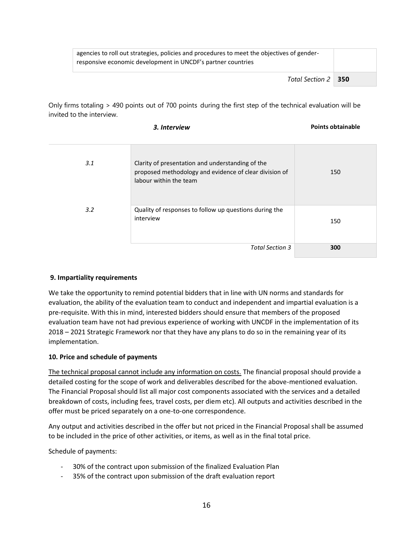| agencies to roll out strategies, policies and procedures to meet the objectives of gender-<br>responsive economic development in UNCDF's partner countries |  |
|------------------------------------------------------------------------------------------------------------------------------------------------------------|--|
| Total Section 2   350                                                                                                                                      |  |

Only firms totaling > 490 points out of 700 points during the first step of the technical evaluation will be invited to the interview.

| 3. Interview | <b>Points obtainable</b> |
|--------------|--------------------------|
|              |                          |

| 3.1 | Clarity of presentation and understanding of the<br>proposed methodology and evidence of clear division of<br>labour within the team | 150 |
|-----|--------------------------------------------------------------------------------------------------------------------------------------|-----|
| 3.2 | Quality of responses to follow up questions during the<br>interview                                                                  | 150 |
|     | <b>Total Section 3</b>                                                                                                               | 300 |

## **9. Impartiality requirements**

We take the opportunity to remind potential bidders that in line with UN norms and standards for evaluation, the ability of the evaluation team to conduct and independent and impartial evaluation is a pre-requisite. With this in mind, interested bidders should ensure that members of the proposed evaluation team have not had previous experience of working with UNCDF in the implementation of its 2018 – 2021 Strategic Framework nor that they have any plans to do so in the remaining year of its implementation.

#### **10. Price and schedule of payments**

The technical proposal cannot include any information on costs. The financial proposal should provide a detailed costing for the scope of work and deliverables described for the above-mentioned evaluation. The Financial Proposal should list all major cost components associated with the services and a detailed breakdown of costs, including fees, travel costs, per diem etc). All outputs and activities described in the offer must be priced separately on a one-to-one correspondence.

Any output and activities described in the offer but not priced in the Financial Proposal shall be assumed to be included in the price of other activities, or items, as well as in the final total price.

Schedule of payments:

- 30% of the contract upon submission of the finalized Evaluation Plan
- 35% of the contract upon submission of the draft evaluation report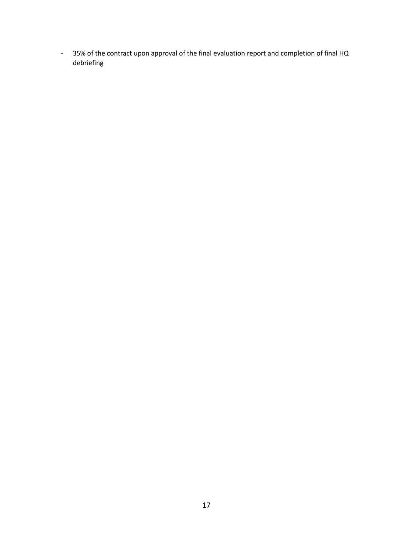- 35% of the contract upon approval of the final evaluation report and completion of final HQ debriefing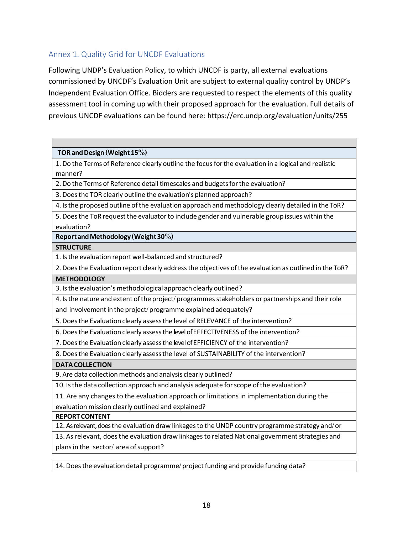# Annex 1. Quality Grid for UNCDF Evaluations

Г

Following UNDP's Evaluation Policy, to which UNCDF is party, all external evaluations commissioned by UNCDF's Evaluation Unit are subject to external quality control by UNDP's Independent Evaluation Office. Bidders are requested to respect the elements of this quality assessment tool in coming up with their proposed approach for the evaluation. Full details of previous UNCDF evaluations can be found here: https://erc.undp.org/evaluation/units/255

| TOR and Design (Weight 15%)                                                                            |
|--------------------------------------------------------------------------------------------------------|
| 1. Do the Terms of Reference clearly outline the focus for the evaluation in a logical and realistic   |
| manner?                                                                                                |
| 2. Do the Terms of Reference detail timescales and budgets for the evaluation?                         |
| 3. Does the TOR clearly outline the evaluation's planned approach?                                     |
| 4. Is the proposed outline of the evaluation approach and methodology clearly detailed in the ToR?     |
| 5. Does the ToR request the evaluator to include gender and vulnerable group issues within the         |
| evaluation?                                                                                            |
| Report and Methodology (Weight 30%)                                                                    |
| <b>STRUCTURE</b>                                                                                       |
| 1. Is the evaluation report well-balanced and structured?                                              |
| 2. Does the Evaluation report clearly address the objectives of the evaluation as outlined in the ToR? |
| <b>METHODOLOGY</b>                                                                                     |
| 3. Is the evaluation's methodological approach clearly outlined?                                       |
| 4. Is the nature and extent of the project/programmes stakeholders or partnerships and their role      |
| and involvement in the project/programme explained adequately?                                         |
| 5. Does the Evaluation clearly assess the level of RELEVANCE of the intervention?                      |
| 6. Does the Evaluation clearly assess the level of EFFECTIVENESS of the intervention?                  |
| 7. Does the Evaluation clearly assess the level of EFFICIENCY of the intervention?                     |
| 8. Does the Evaluation clearly assess the level of SUSTAINABILITY of the intervention?                 |
| <b>DATA COLLECTION</b>                                                                                 |
| 9. Are data collection methods and analysis clearly outlined?                                          |
| 10. Is the data collection approach and analysis adequate for scope of the evaluation?                 |
| 11. Are any changes to the evaluation approach or limitations in implementation during the             |
| evaluation mission clearly outlined and explained?                                                     |
| <b>REPORT CONTENT</b>                                                                                  |
| 12. As relevant, does the evaluation draw linkages to the UNDP country programme strategy and/or       |
| 13. As relevant, does the evaluation draw linkages to related National government strategies and       |
| plans in the sector/area of support?                                                                   |
|                                                                                                        |

14. Doesthe evaluation detail programme/ project funding and provide funding data?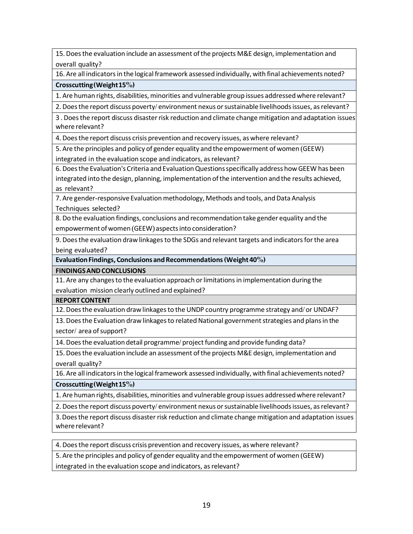15. Doesthe evaluation include an assessment ofthe projects M&E design, implementation and overall quality?

16. Are all indicators in the logical framework assessed individually, with final achievements noted?

#### **Crosscutting(Weight15%)**

1. Are human rights, disabilities, minorities and vulnerable group issues addressedwhere relevant?

2. Does the report discuss poverty/environment nexus or sustainable livelihoods issues, as relevant?

3 . Doesthe report discuss disasterrisk reduction and climate change mitigation and adaptation issues where relevant?

4. Doesthe report discuss crisis prevention and recovery issues, as where relevant?

5. Are the principles and policy of gender equality and the empowerment of women (GEEW)

integrated in the evaluation scope and indicators, as relevant?

6. Doesthe Evaluation's Criteria and EvaluationQuestionsspecifically address how GEEW has been integrated into the design, planning, implementation ofthe intervention and the results achieved, as relevant?

7. Are gender-responsive Evaluation methodology, Methods and tools, and Data Analysis Techniques selected?

8. Do the evaluation findings, conclusions and recommendation take gender equality and the empowermentofwomen (GEEW) aspectsinto consideration?

9. Doesthe evaluation draw linkagesto the SDGs and relevant targets and indicatorsforthe area being evaluated?

**EvaluationFindings, Conclusions andRecommendations(Weight40%)**

**FINDINGSANDCONCLUSIONS**

11. Are any changesto the evaluation approach orlimitationsin implementation during the evaluation mission clearly outlined and explained?

**REPORTCONTENT**

12. Doesthe evaluation draw linkagesto the UNDP country programme strategy and/or UNDAF?

13. Does the Evaluation draw linkages to related National government strategies and plans in the sector/area of support?

14. Doesthe evaluation detail programme/ project funding and provide funding data?

15. Doesthe evaluation include an assessment ofthe projects M&E design, implementation and overall quality?

16. Are all indicatorsin the logical framework assessed individually, with final achievements noted?

**Crosscutting(Weight15%)**

1. Are human rights, disabilities, minorities and vulnerable group issues addressedwhere relevant?

2. Does the report discuss poverty/environment nexus or sustainable livelihoods issues, as relevant?

3.Doesthe report discuss disaster risk reduction and climate change mitigation and adaptation issues where relevant?

4. Doesthe report discuss crisis prevention and recovery issues, as where relevant?

5. Are the principles and policy of gender equality and the empowerment of women (GEEW)

integrated in the evaluation scope and indicators, as relevant?